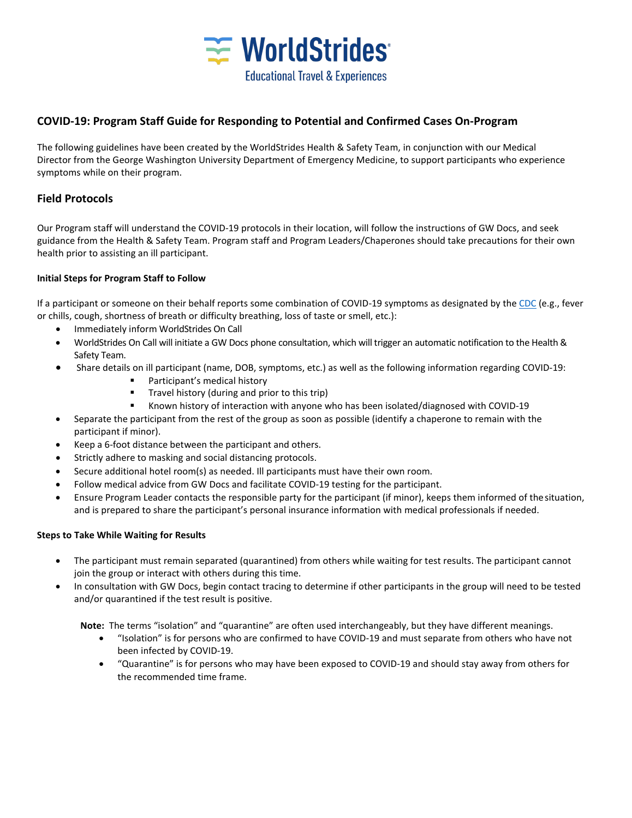

# **COVID-19: Program Staff Guide for Responding to Potential and Confirmed Cases On-Program**

The following guidelines have been created by the WorldStrides Health & Safety Team, in conjunction with our Medical Director from the George Washington University Department of Emergency Medicine, to support participants who experience symptoms while on their program.

# **Field Protocols**

Our Program staff will understand the COVID-19 protocols in their location, will follow the instructions of GW Docs, and seek guidance from the Health & Safety Team. Program staff and Program Leaders/Chaperones should take precautions for their own health prior to assisting an ill participant.

## **Initial Steps for Program Staff to Follow**

If a participant or someone on their behalf reports some combination of COVID-19 symptoms as designated by th[e CDC](https://www.cdc.gov/coronavirus/2019-ncov/symptoms-testing/symptoms.html) (e.g., fever or chills, cough, shortness of breath or difficulty breathing, loss of taste or smell, etc.):

- Immediately inform WorldStrides On Call
- WorldStrides On Call will initiate a GW Docs phone consultation, which will trigger an automatic notification to the Health & Safety Team.
- Share details on ill participant (name, DOB, symptoms, etc.) as well as the following information regarding COVID-19:
	- Participant's medical history
	- **Travel history (during and prior to this trip)**
	- Known history of interaction with anyone who has been isolated/diagnosed with COVID-19
- Separate the participant from the rest of the group as soon as possible (identify a chaperone to remain with the participant if minor).
- Keep a 6-foot distance between the participant and others.
- Strictly adhere to masking and social distancing protocols.
- Secure additional hotel room(s) as needed. Ill participants must have their own room.
- Follow medical advice from GW Docs and facilitate COVID-19 testing for the participant.
- Ensure Program Leader contacts the responsible party for the participant (if minor), keeps them informed of thesituation, and is prepared to share the participant's personal insurance information with medical professionals if needed.

## **Steps to Take While Waiting for Results**

- The participant must remain separated (quarantined) from others while waiting for test results. The participant cannot join the group or interact with others during this time.
- In consultation with GW Docs, begin contact tracing to determine if other participants in the group will need to be tested and/or quarantined if the test result is positive.

**Note:** The terms "isolation" and "quarantine" are often used interchangeably, but they have different meanings.

- "Isolation" is for persons who are confirmed to have COVID-19 and must separate from others who have not been infected by COVID-19.
- "Quarantine" is for persons who may have been exposed to COVID-19 and should stay away from others for the recommended time frame.